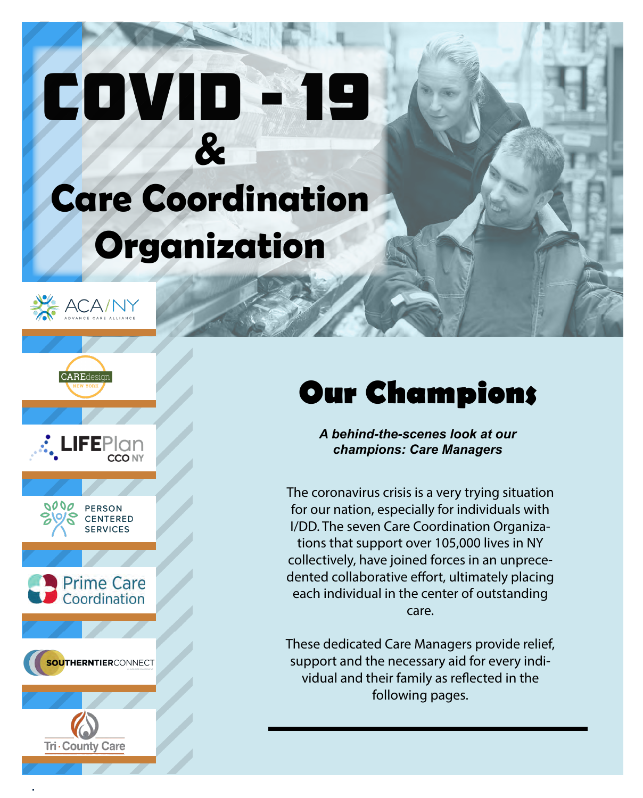# COVID -**& Care Coordination Organization**



**CAREde** 











## **Our Champions**

*A behind-the-scenes look at our champions: Care Managers* 

The coronavirus crisis is a very trying situation for our nation, especially for individuals with I/DD. The seven Care Coordination Organizations that support over 105,000 lives in NY collectively, have joined forces in an unprecedented collaborative effort, ultimately placing each individual in the center of outstanding care.

These dedicated Care Managers provide relief, support and the necessary aid for every individual and their family as reflected in the following pages.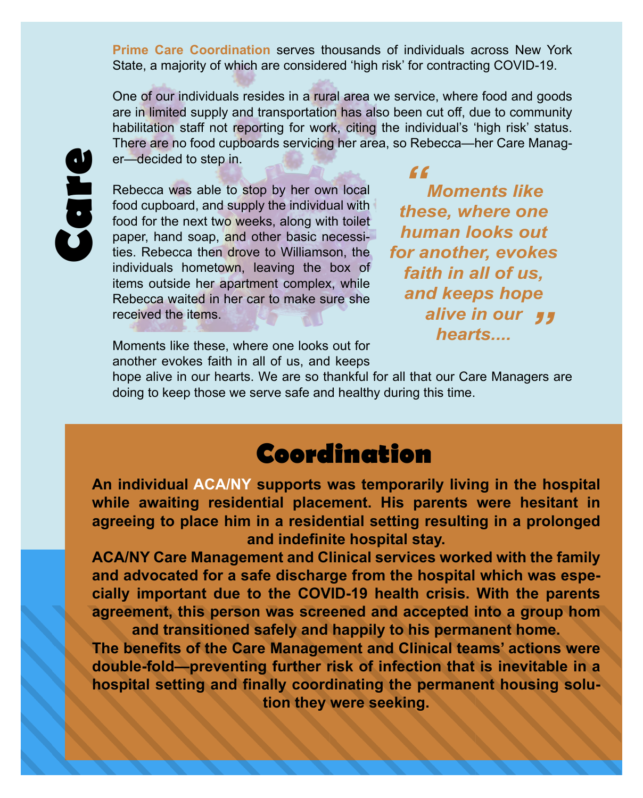**Prime Care Coordination** serves thousands of individuals across New York diam of which are considered 'high risk' for contracting COVID-19.<br>State, a majority of which are considered 'high risk' for contracting COVID-19.

One of our individuals resides in a rural area we service, where food and goods are in limited supply and transportation has also been cut on, due to community<br>habilitation staff not reporting for work, citing the individual's 'high risk' status. There are no food cupboards servicing her area, so Rebecca—her Care Managrit in vulkaties verlies van door de velit este molestie consequent, verlies van dolore en dolore en dolore europeer. In verlies van door de velit en door de velit en door de velit en door de velit en door de velit en door are in limited supply and transportation has also been cut off, due to community er—decided to step in.

Feuerca was able to stop by her own local **Moments like** dignisour cupboard, and supply the individual with these, where one food for the next two weeks, along with toilet paper, hand soap, and other basic necessi- **hum** Lorem individuals hometown, leaving the box of **the faith in all of us** individuals hometown, leaving the box of **faith in all of us** items outside her apartment complex, while and keeps hope er—decided to step in.<br>
Rebecca was able to stop by her own local<br>
food cupboard, and supply the individual with<br>
paper, hand soap, and other basic necessi-<br>
paper, hand soap, and other basic necessi-<br>
ties. Rebecca then d food cupboard, and supply the individual with ties. Rebecca then drove to Williamson, the Rebecca waited in her car to make sure she received the items.

received the items.<br>
Moments like these, where one looks out for *hearts....* **hearts....**<br>Memeric like these where are looks out for **hearts....** *" Moments like these, where one human looks out for another, evokes faith in all of us, and keeps hope* 

moments like these, where one looks out for<br>another evokes faith in all of us, and keeps Moments like these, where one looks out for

hope alive in our hearts. We are so thankful for all that our Care Managers are doing to keep those we serve safe and healthy during this time.

### **Coordination**

**An individual ACA/NY supports was temporarily living in the hospital while awaiting residential placement. His parents were hesitant in agreeing to place him in a residential setting resulting in a prolonged and indefinite hospital stay.** 

**ACA/NY Care Management and Clinical services worked with the family and advocated for a safe discharge from the hospital which was especially important due to the COVID-19 health crisis. With the parents agreement, this person was screened and accepted into a group hom and transitioned safely and happily to his permanent home.** 

**The benefits of the Care Management and Clinical teams' actions were double-fold—preventing further risk of infection that is inevitable in a hospital setting and finally coordinating the permanent housing solution they were seeking.**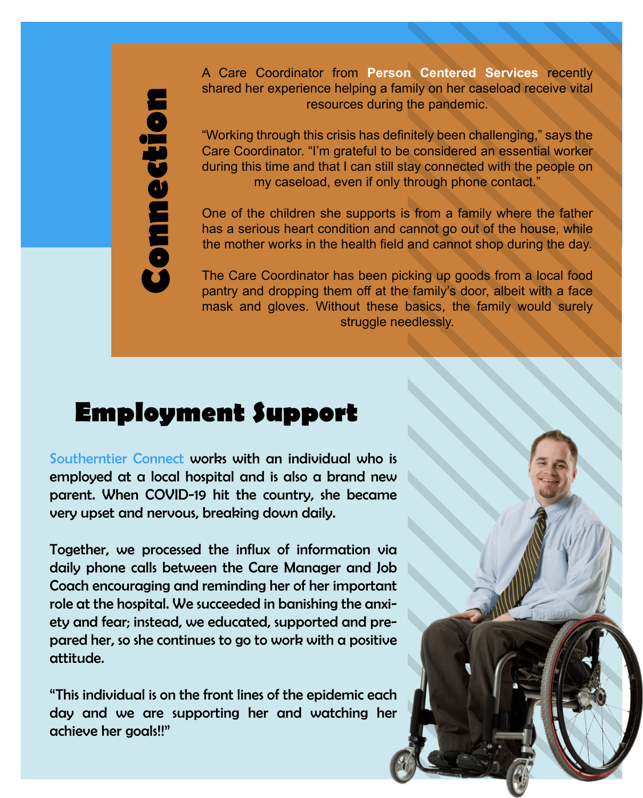A Care Coordinator from **Person Centered Services** recently shared her experience helping a family on her caseload receive vital resources during the pandemic.

"Working through this crisis has definitely been challenging," says the Care Coordinator. "I'm grateful to be considered an essential worker during this time and that I can still stay connected with the people on my caseload, even if only through phone contact." **Employment Support** 

One of the children she supports is from a family where the father has a serious heart condition and cannot go out of the house, while the mother works in the health field and cannot shop during the day.

The Care Coordinator has been picking up goods from a local food pantry and dropping them off at the family's door, albeit with a face mask and gloves. Without these basics, the family would surely struggle needlessly.

Southerntier Connect works with an individual who is employed at a local hospital and is also a brand new parent. When COVID-19 hit the country, she became very upset and nervous, breaking down daily.

Together, we processed the influx of information via daily phone calls between the Care Manager and Job Coach encouraging and reminding her of her important role at the hospital. We succeeded in banishing the anxiety and fear; instead, we educated, supported and prepared her, so she continues to go to work with a positive attitude.

"This individual is on the front lines of the epidemic each day and we are supporting her and watching her achieve her goals!!"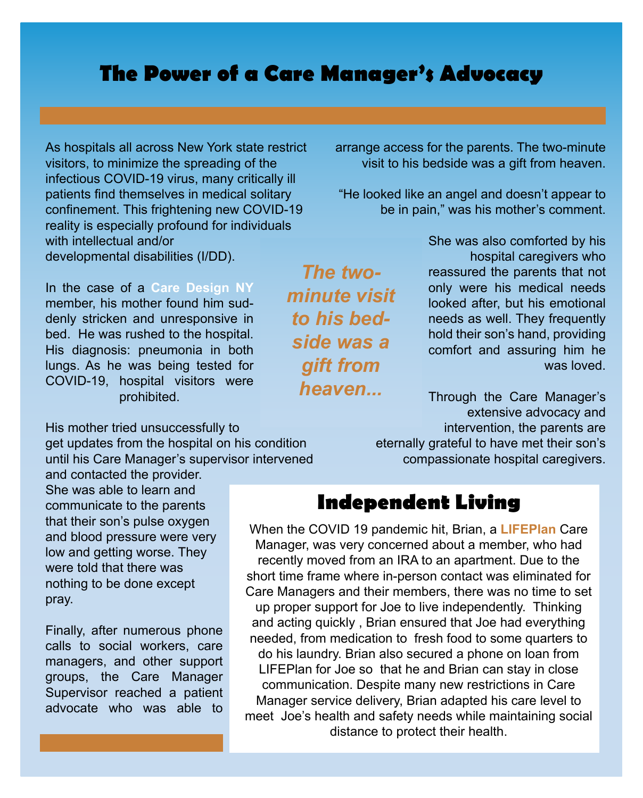### **The Power of a Care Manager's Advocacy**

As hospitals all across New York state restrict visitors, to minimize the spreading of the infectious COVID-19 virus, many critically ill patients find themselves in medical solitary confinement. This frightening new COVID-19 reality is especially profound for individuals with intellectual and/or developmental disabilities (I/DD).

In the case of a **Care Design NY** member, his mother found him suddenly stricken and unresponsive in bed. He was rushed to the hospital. His diagnosis: pneumonia in both lungs. As he was being tested for COVID-19, hospital visitors were prohibited.

His mother tried unsuccessfully to get updates from the hospital on his condition until his Care Manager's supervisor intervened

and contacted the provider. She was able to learn and communicate to the parents that their son's pulse oxygen and blood pressure were very low and getting worse. They were told that there was nothing to be done except pray.

Finally, after numerous phone calls to social workers, care managers, and other support groups, the Care Manager Supervisor reached a patient advocate who was able to arrange access for the parents. The two-minute visit to his bedside was a gift from heaven.

 "He looked like an angel and doesn't appear to be in pain," was his mother's comment.

*The twominute visit to his bedside was a gift from heaven...*

She was also comforted by his hospital caregivers who reassured the parents that not only were his medical needs looked after, but his emotional needs as well. They frequently hold their son's hand, providing comfort and assuring him he was loved.

Through the Care Manager's extensive advocacy and intervention, the parents are eternally grateful to have met their son's compassionate hospital caregivers.

**Independent Living**

When the COVID 19 pandemic hit, Brian, a **LIFEPlan** Care Manager, was very concerned about a member, who had recently moved from an IRA to an apartment. Due to the short time frame where in-person contact was eliminated for Care Managers and their members, there was no time to set up proper support for Joe to live independently. Thinking and acting quickly , Brian ensured that Joe had everything needed, from medication to fresh food to some quarters to do his laundry. Brian also secured a phone on loan from LIFEPlan for Joe so that he and Brian can stay in close communication. Despite many new restrictions in Care Manager service delivery, Brian adapted his care level to meet Joe's health and safety needs while maintaining social distance to protect their health.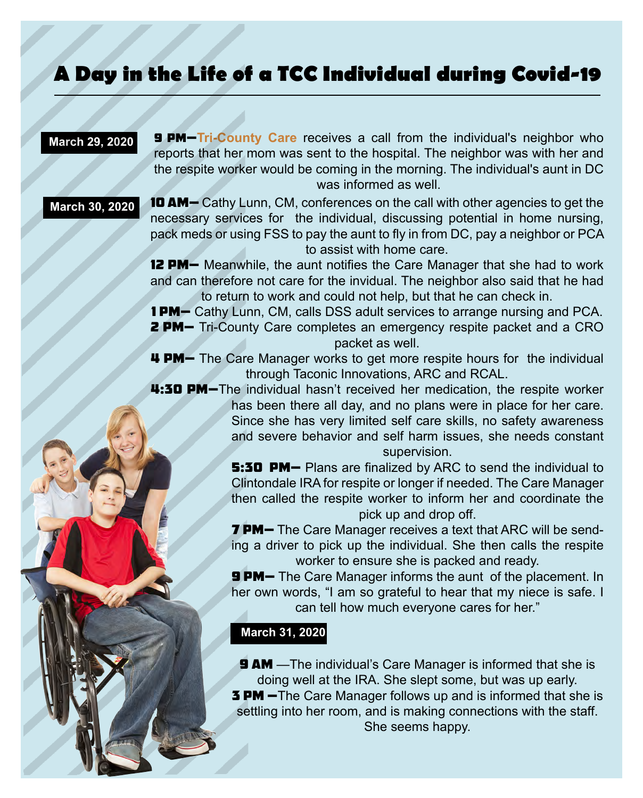### **A Day in the Life of a TCC Individual during Covid-19**

#### **March 29, 2020**

9 PM—**Tri-County Care** receives a call from the individual's neighbor who reports that her mom was sent to the hospital. The neighbor was with her and the respite worker would be coming in the morning. The individual's aunt in DC was informed as well.

**March 30, 2020** 10 AM- Cathy Lunn, CM, conferences on the call with other agencies to get the necessary services for the individual, discussing potential in home nursing, pack meds or using FSS to pay the aunt to fly in from DC, pay a neighbor or PCA to assist with home care.

> **12 PM**— Meanwhile, the aunt notifies the Care Manager that she had to work and can therefore not care for the invidual. The neighbor also said that he had to return to work and could not help, but that he can check in.

> **1 PM—** Cathy Lunn, CM, calls DSS adult services to arrange nursing and PCA. **2 PM**— Tri-County Care completes an emergency respite packet and a CRO packet as well.

> **4 PM**— The Care Manager works to get more respite hours for the individual through Taconic Innovations, ARC and RCAL.

> 4:30 PM-The individual hasn't received her medication, the respite worker has been there all day, and no plans were in place for her care. Since she has very limited self care skills, no safety awareness and severe behavior and self harm issues, she needs constant supervision.

> > **5:30 PM-** Plans are finalized by ARC to send the individual to Clintondale IRA for respite or longer if needed. The Care Manager then called the respite worker to inform her and coordinate the pick up and drop off.

> > **7 PM**— The Care Manager receives a text that ARC will be sending a driver to pick up the individual. She then calls the respite worker to ensure she is packed and ready.

> > **9 PM**— The Care Manager informs the aunt of the placement. In her own words, "I am so grateful to hear that my niece is safe. I can tell how much everyone cares for her."

#### **March 31, 2020**

**9 AM** —The individual's Care Manager is informed that she is doing well at the IRA. She slept some, but was up early. **3 PM** - The Care Manager follows up and is informed that she is settling into her room, and is making connections with the staff. She seems happy.